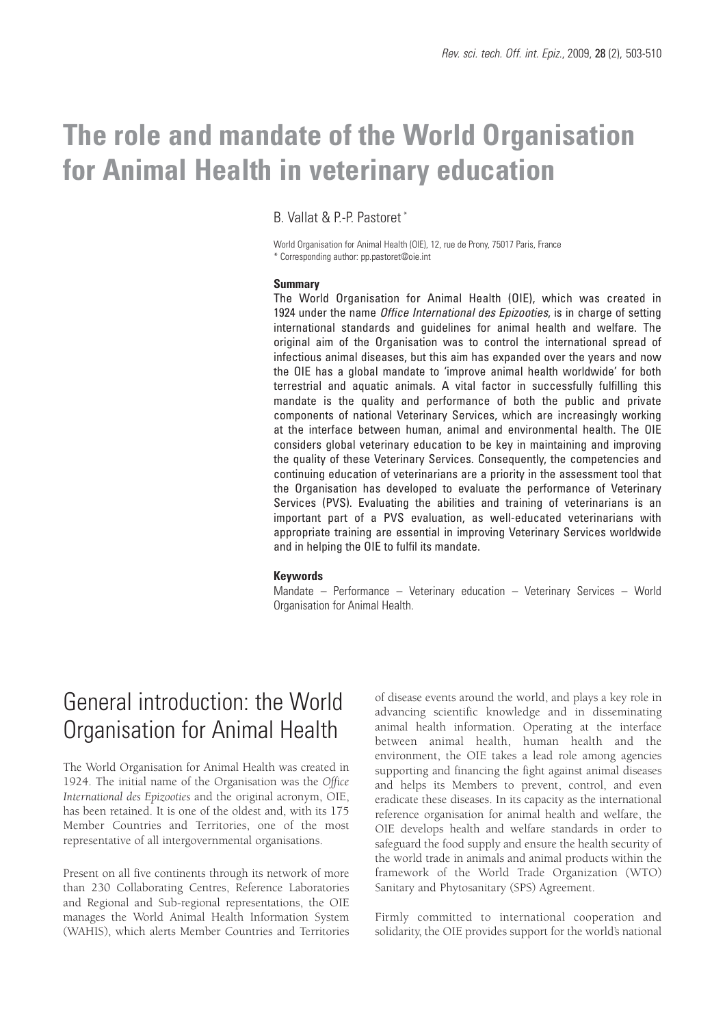# **The role and mandate of the World Organisation for Animal Health in veterinary education**

B. Vallat & P.-P. Pastoret \*

World Organisation for Animal Health (OIE), 12, rue de Prony, 75017 Paris, France \* Corresponding author: pp.pastoret@oie.int

#### **Summary**

The World Organisation for Animal Health (OIE), which was created in 1924 under the name *Office International des Epizooties*, is in charge of setting international standards and guidelines for animal health and welfare. The original aim of the Organisation was to control the international spread of infectious animal diseases, but this aim has expanded over the years and now the OIE has a global mandate to 'improve animal health worldwide' for both terrestrial and aquatic animals. A vital factor in successfully fulfilling this mandate is the quality and performance of both the public and private components of national Veterinary Services, which are increasingly working at the interface between human, animal and environmental health. The OIE considers global veterinary education to be key in maintaining and improving the quality of these Veterinary Services. Consequently, the competencies and continuing education of veterinarians are a priority in the assessment tool that the Organisation has developed to evaluate the performance of Veterinary Services (PVS). Evaluating the abilities and training of veterinarians is an important part of a PVS evaluation, as well-educated veterinarians with appropriate training are essential in improving Veterinary Services worldwide and in helping the OIE to fulfil its mandate.

#### **Keywords**

Mandate – Performance – Veterinary education – Veterinary Services – World Organisation for Animal Health.

# General introduction: the World Organisation for Animal Health

The World Organisation for Animal Health was created in 1924. The initial name of the Organisation was the *Office International des Epizooties* and the original acronym, OIE, has been retained. It is one of the oldest and, with its 175 Member Countries and Territories, one of the most representative of all intergovernmental organisations.

Present on all five continents through its network of more than 230 Collaborating Centres, Reference Laboratories and Regional and Sub-regional representations, the OIE manages the World Animal Health Information System (WAHIS), which alerts Member Countries and Territories of disease events around the world, and plays a key role in advancing scientific knowledge and in disseminating animal health information. Operating at the interface between animal health, human health and the environment, the OIE takes a lead role among agencies supporting and financing the fight against animal diseases and helps its Members to prevent, control, and even eradicate these diseases. In its capacity as the international reference organisation for animal health and welfare, the OIE develops health and welfare standards in order to safeguard the food supply and ensure the health security of the world trade in animals and animal products within the framework of the World Trade Organization (WTO) Sanitary and Phytosanitary (SPS) Agreement.

Firmly committed to international cooperation and solidarity, the OIE provides support for the world's national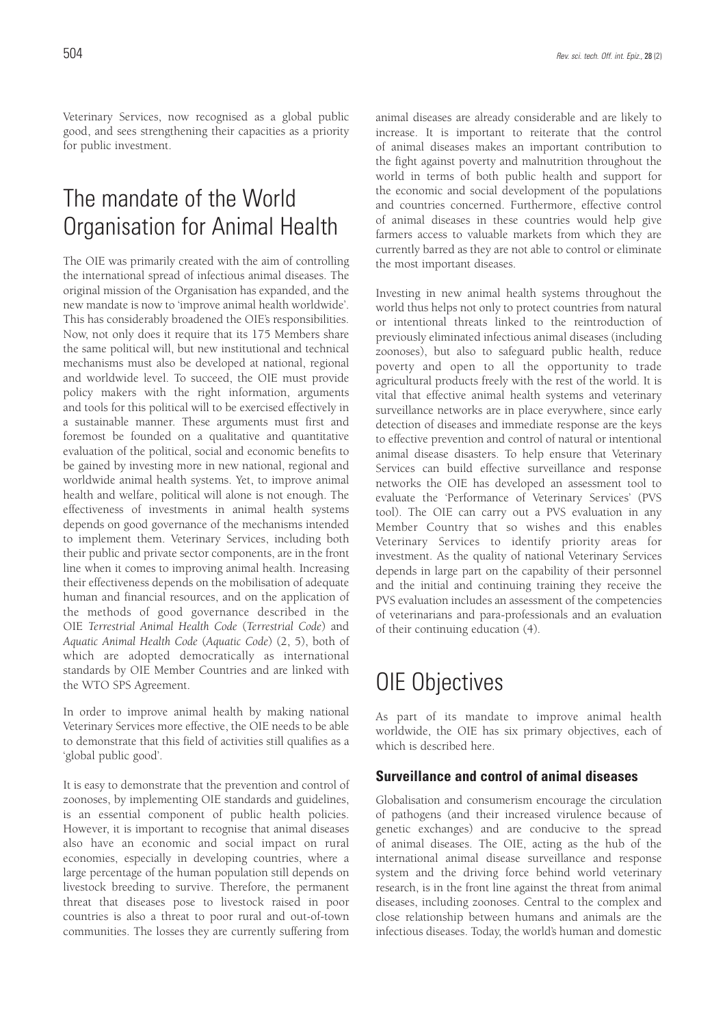Veterinary Services, now recognised as a global public good, and sees strengthening their capacities as a priority for public investment.

# The mandate of the World Organisation for Animal Health

The OIE was primarily created with the aim of controlling the international spread of infectious animal diseases. The original mission of the Organisation has expanded, and the new mandate is now to 'improve animal health worldwide'. This has considerably broadened the OIE's responsibilities. Now, not only does it require that its 175 Members share the same political will, but new institutional and technical mechanisms must also be developed at national, regional and worldwide level. To succeed, the OIE must provide policy makers with the right information, arguments and tools for this political will to be exercised effectively in a sustainable manner. These arguments must first and foremost be founded on a qualitative and quantitative evaluation of the political, social and economic benefits to be gained by investing more in new national, regional and worldwide animal health systems. Yet, to improve animal health and welfare, political will alone is not enough. The effectiveness of investments in animal health systems depends on good governance of the mechanisms intended to implement them. Veterinary Services, including both their public and private sector components, are in the front line when it comes to improving animal health. Increasing their effectiveness depends on the mobilisation of adequate human and financial resources, and on the application of the methods of good governance described in the OIE *Terrestrial Animal Health Code* (*Terrestrial Code*) and *Aquatic Animal Health Code* (*Aquatic Code*) (2, 5), both of which are adopted democratically as international standards by OIE Member Countries and are linked with the WTO SPS Agreement.

In order to improve animal health by making national Veterinary Services more effective, the OIE needs to be able to demonstrate that this field of activities still qualifies as a 'global public good'.

It is easy to demonstrate that the prevention and control of zoonoses, by implementing OIE standards and guidelines, is an essential component of public health policies. However, it is important to recognise that animal diseases also have an economic and social impact on rural economies, especially in developing countries, where a large percentage of the human population still depends on livestock breeding to survive. Therefore, the permanent threat that diseases pose to livestock raised in poor countries is also a threat to poor rural and out-of-town communities. The losses they are currently suffering from animal diseases are already considerable and are likely to increase. It is important to reiterate that the control of animal diseases makes an important contribution to the fight against poverty and malnutrition throughout the world in terms of both public health and support for the economic and social development of the populations and countries concerned. Furthermore, effective control of animal diseases in these countries would help give farmers access to valuable markets from which they are currently barred as they are not able to control or eliminate the most important diseases.

Investing in new animal health systems throughout the world thus helps not only to protect countries from natural or intentional threats linked to the reintroduction of previously eliminated infectious animal diseases (including zoonoses), but also to safeguard public health, reduce poverty and open to all the opportunity to trade agricultural products freely with the rest of the world. It is vital that effective animal health systems and veterinary surveillance networks are in place everywhere, since early detection of diseases and immediate response are the keys to effective prevention and control of natural or intentional animal disease disasters. To help ensure that Veterinary Services can build effective surveillance and response networks the OIE has developed an assessment tool to evaluate the 'Performance of Veterinary Services' (PVS tool). The OIE can carry out a PVS evaluation in any Member Country that so wishes and this enables Veterinary Services to identify priority areas for investment. As the quality of national Veterinary Services depends in large part on the capability of their personnel and the initial and continuing training they receive the PVS evaluation includes an assessment of the competencies of veterinarians and para-professionals and an evaluation of their continuing education (4).

# OIE Objectives

As part of its mandate to improve animal health worldwide, the OIE has six primary objectives, each of which is described here.

# **Surveillance and control of animal diseases**

Globalisation and consumerism encourage the circulation of pathogens (and their increased virulence because of genetic exchanges) and are conducive to the spread of animal diseases. The OIE, acting as the hub of the international animal disease surveillance and response system and the driving force behind world veterinary research, is in the front line against the threat from animal diseases, including zoonoses. Central to the complex and close relationship between humans and animals are the infectious diseases. Today, the world's human and domestic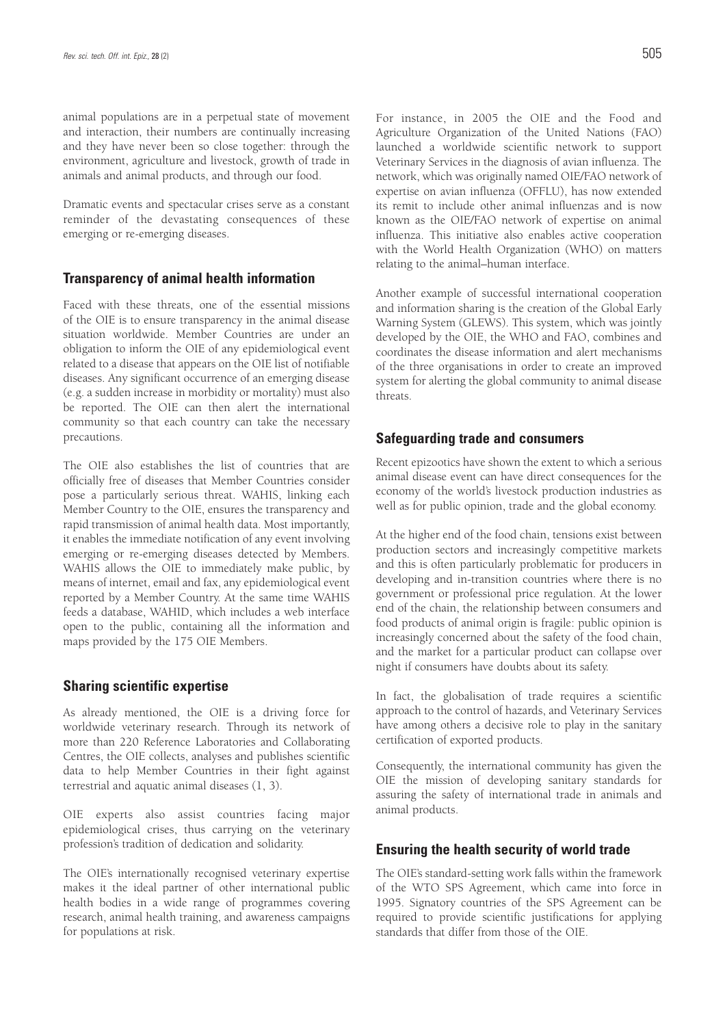animal populations are in a perpetual state of movement and interaction, their numbers are continually increasing and they have never been so close together: through the environment, agriculture and livestock, growth of trade in animals and animal products, and through our food.

Dramatic events and spectacular crises serve as a constant reminder of the devastating consequences of these emerging or re-emerging diseases.

### **Transparency of animal health information**

Faced with these threats, one of the essential missions of the OIE is to ensure transparency in the animal disease situation worldwide. Member Countries are under an obligation to inform the OIE of any epidemiological event related to a disease that appears on the OIE list of notifiable diseases. Any significant occurrence of an emerging disease (e.g. a sudden increase in morbidity or mortality) must also be reported. The OIE can then alert the international community so that each country can take the necessary precautions.

The OIE also establishes the list of countries that are officially free of diseases that Member Countries consider pose a particularly serious threat. WAHIS, linking each Member Country to the OIE, ensures the transparency and rapid transmission of animal health data. Most importantly, it enables the immediate notification of any event involving emerging or re-emerging diseases detected by Members. WAHIS allows the OIE to immediately make public, by means of internet, email and fax, any epidemiological event reported by a Member Country. At the same time WAHIS feeds a database, WAHID, which includes a web interface open to the public, containing all the information and maps provided by the 175 OIE Members.

### **Sharing scientific expertise**

As already mentioned, the OIE is a driving force for worldwide veterinary research. Through its network of more than 220 Reference Laboratories and Collaborating Centres, the OIE collects, analyses and publishes scientific data to help Member Countries in their fight against terrestrial and aquatic animal diseases (1, 3).

OIE experts also assist countries facing major epidemiological crises, thus carrying on the veterinary profession's tradition of dedication and solidarity.

The OIE's internationally recognised veterinary expertise makes it the ideal partner of other international public health bodies in a wide range of programmes covering research, animal health training, and awareness campaigns for populations at risk.

For instance, in 2005 the OIE and the Food and Agriculture Organization of the United Nations (FAO) launched a worldwide scientific network to support Veterinary Services in the diagnosis of avian influenza. The network, which was originally named OIE/FAO network of expertise on avian influenza (OFFLU), has now extended its remit to include other animal influenzas and is now known as the OIE/FAO network of expertise on animal influenza. This initiative also enables active cooperation with the World Health Organization (WHO) on matters relating to the animal–human interface.

Another example of successful international cooperation and information sharing is the creation of the Global Early Warning System (GLEWS). This system, which was jointly developed by the OIE, the WHO and FAO, combines and coordinates the disease information and alert mechanisms of the three organisations in order to create an improved system for alerting the global community to animal disease threats.

## **Safeguarding trade and consumers**

Recent epizootics have shown the extent to which a serious animal disease event can have direct consequences for the economy of the world's livestock production industries as well as for public opinion, trade and the global economy.

At the higher end of the food chain, tensions exist between production sectors and increasingly competitive markets and this is often particularly problematic for producers in developing and in-transition countries where there is no government or professional price regulation. At the lower end of the chain, the relationship between consumers and food products of animal origin is fragile: public opinion is increasingly concerned about the safety of the food chain, and the market for a particular product can collapse over night if consumers have doubts about its safety.

In fact, the globalisation of trade requires a scientific approach to the control of hazards, and Veterinary Services have among others a decisive role to play in the sanitary certification of exported products.

Consequently, the international community has given the OIE the mission of developing sanitary standards for assuring the safety of international trade in animals and animal products.

### **Ensuring the health security of world trade**

The OIE's standard-setting work falls within the framework of the WTO SPS Agreement, which came into force in 1995. Signatory countries of the SPS Agreement can be required to provide scientific justifications for applying standards that differ from those of the OIE.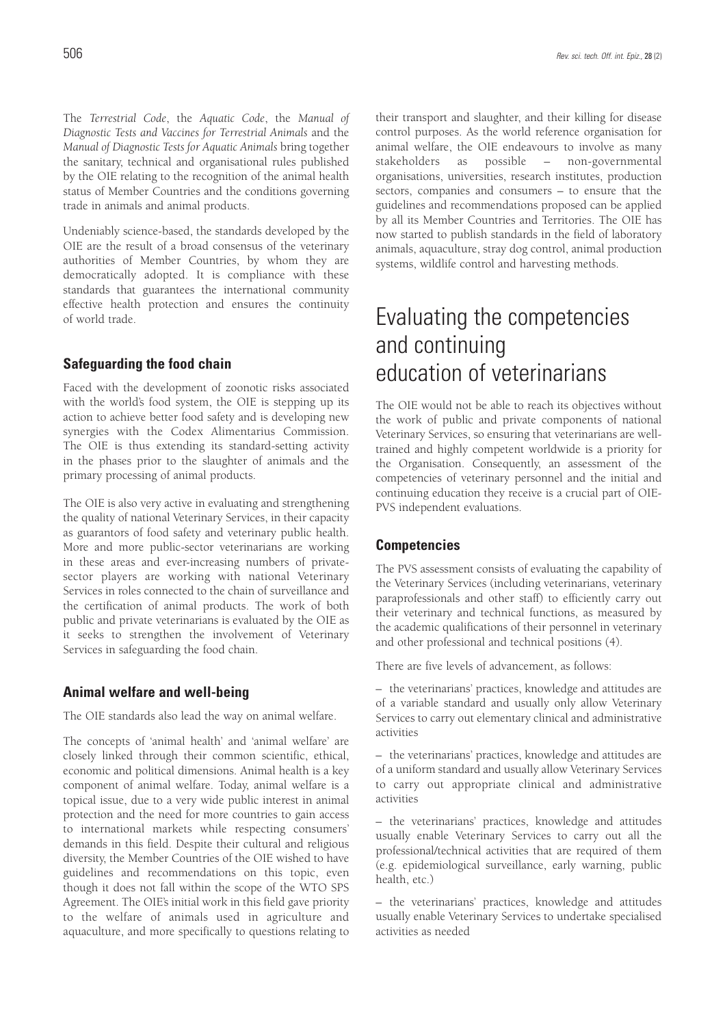The *Terrestrial Code*, the *Aquatic Code*, the *Manual of Diagnostic Tests and Vaccines for Terrestrial Animals* and the *Manual of Diagnostic Tests for Aquatic Animals* bring together the sanitary, technical and organisational rules published by the OIE relating to the recognition of the animal health status of Member Countries and the conditions governing trade in animals and animal products.

Undeniably science-based, the standards developed by the OIE are the result of a broad consensus of the veterinary authorities of Member Countries, by whom they are democratically adopted. It is compliance with these standards that guarantees the international community effective health protection and ensures the continuity of world trade.

### **Safeguarding the food chain**

Faced with the development of zoonotic risks associated with the world's food system, the OIE is stepping up its action to achieve better food safety and is developing new synergies with the Codex Alimentarius Commission. The OIE is thus extending its standard-setting activity in the phases prior to the slaughter of animals and the primary processing of animal products.

The OIE is also very active in evaluating and strengthening the quality of national Veterinary Services, in their capacity as guarantors of food safety and veterinary public health. More and more public-sector veterinarians are working in these areas and ever-increasing numbers of privatesector players are working with national Veterinary Services in roles connected to the chain of surveillance and the certification of animal products. The work of both public and private veterinarians is evaluated by the OIE as it seeks to strengthen the involvement of Veterinary Services in safeguarding the food chain.

### **Animal welfare and well-being**

The OIE standards also lead the way on animal welfare.

The concepts of 'animal health' and 'animal welfare' are closely linked through their common scientific, ethical, economic and political dimensions. Animal health is a key component of animal welfare. Today, animal welfare is a topical issue, due to a very wide public interest in animal protection and the need for more countries to gain access to international markets while respecting consumers' demands in this field. Despite their cultural and religious diversity, the Member Countries of the OIE wished to have guidelines and recommendations on this topic, even though it does not fall within the scope of the WTO SPS Agreement. The OIE's initial work in this field gave priority to the welfare of animals used in agriculture and aquaculture, and more specifically to questions relating to

their transport and slaughter, and their killing for disease control purposes. As the world reference organisation for animal welfare, the OIE endeavours to involve as many stakeholders as possible – non-governmental organisations, universities, research institutes, production sectors, companies and consumers – to ensure that the guidelines and recommendations proposed can be applied by all its Member Countries and Territories. The OIE has now started to publish standards in the field of laboratory animals, aquaculture, stray dog control, animal production systems, wildlife control and harvesting methods.

# Evaluating the competencies and continuing education of veterinarians

The OIE would not be able to reach its objectives without the work of public and private components of national Veterinary Services, so ensuring that veterinarians are welltrained and highly competent worldwide is a priority for the Organisation. Consequently, an assessment of the competencies of veterinary personnel and the initial and continuing education they receive is a crucial part of OIE-PVS independent evaluations.

### **Competencies**

The PVS assessment consists of evaluating the capability of the Veterinary Services (including veterinarians, veterinary paraprofessionals and other staff) to efficiently carry out their veterinary and technical functions, as measured by the academic qualifications of their personnel in veterinary and other professional and technical positions (4).

There are five levels of advancement, as follows:

– the veterinarians' practices, knowledge and attitudes are of a variable standard and usually only allow Veterinary Services to carry out elementary clinical and administrative activities

– the veterinarians' practices, knowledge and attitudes are of a uniform standard and usually allow Veterinary Services to carry out appropriate clinical and administrative activities

– the veterinarians' practices, knowledge and attitudes usually enable Veterinary Services to carry out all the professional/technical activities that are required of them (e.g. epidemiological surveillance, early warning, public health, etc.)

– the veterinarians' practices, knowledge and attitudes usually enable Veterinary Services to undertake specialised activities as needed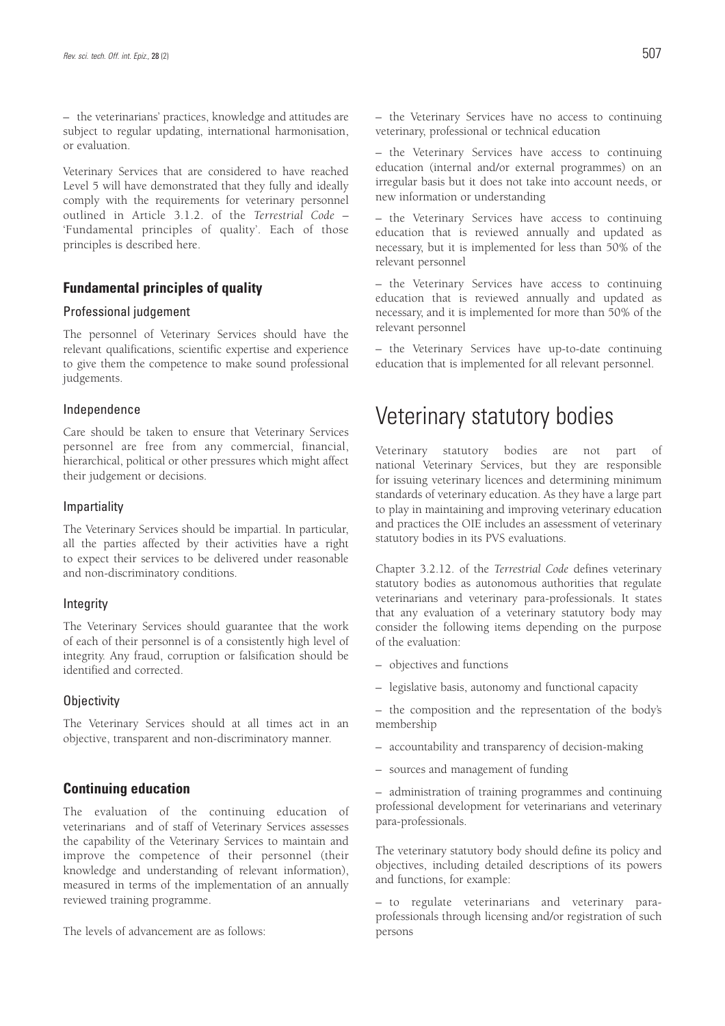– the veterinarians' practices, knowledge and attitudes are subject to regular updating, international harmonisation, or evaluation.

Veterinary Services that are considered to have reached Level 5 will have demonstrated that they fully and ideally comply with the requirements for veterinary personnel outlined in Article 3.1.2. of the *Terrestrial Code* – 'Fundamental principles of quality'. Each of those principles is described here.

# **Fundamental principles of quality**

### Professional judgement

The personnel of Veterinary Services should have the relevant qualifications, scientific expertise and experience to give them the competence to make sound professional judgements.

#### Independence

Care should be taken to ensure that Veterinary Services personnel are free from any commercial, financial, hierarchical, political or other pressures which might affect their judgement or decisions.

#### Impartiality

The Veterinary Services should be impartial. In particular, all the parties affected by their activities have a right to expect their services to be delivered under reasonable and non-discriminatory conditions.

#### **Integrity**

The Veterinary Services should guarantee that the work of each of their personnel is of a consistently high level of integrity. Any fraud, corruption or falsification should be identified and corrected.

#### **Objectivity**

The Veterinary Services should at all times act in an objective, transparent and non-discriminatory manner.

### **Continuing education**

The evaluation of the continuing education of veterinarians and of staff of Veterinary Services assesses the capability of the Veterinary Services to maintain and improve the competence of their personnel (their knowledge and understanding of relevant information), measured in terms of the implementation of an annually reviewed training programme.

The levels of advancement are as follows:

– the Veterinary Services have no access to continuing veterinary, professional or technical education

– the Veterinary Services have access to continuing education (internal and/or external programmes) on an irregular basis but it does not take into account needs, or new information or understanding

– the Veterinary Services have access to continuing education that is reviewed annually and updated as necessary, but it is implemented for less than 50% of the relevant personnel

– the Veterinary Services have access to continuing education that is reviewed annually and updated as necessary, and it is implemented for more than 50% of the relevant personnel

– the Veterinary Services have up-to-date continuing education that is implemented for all relevant personnel.

# Veterinary statutory bodies

Veterinary statutory bodies are not part of national Veterinary Services, but they are responsible for issuing veterinary licences and determining minimum standards of veterinary education. As they have a large part to play in maintaining and improving veterinary education and practices the OIE includes an assessment of veterinary statutory bodies in its PVS evaluations.

Chapter 3.2.12. of the *Terrestrial Code* defines veterinary statutory bodies as autonomous authorities that regulate veterinarians and veterinary para-professionals. It states that any evaluation of a veterinary statutory body may consider the following items depending on the purpose of the evaluation:

- objectives and functions
- legislative basis, autonomy and functional capacity

– the composition and the representation of the body's membership

- accountability and transparency of decision-making
- sources and management of funding

– administration of training programmes and continuing professional development for veterinarians and veterinary para-professionals.

The veterinary statutory body should define its policy and objectives, including detailed descriptions of its powers and functions, for example:

– to regulate veterinarians and veterinary paraprofessionals through licensing and/or registration of such persons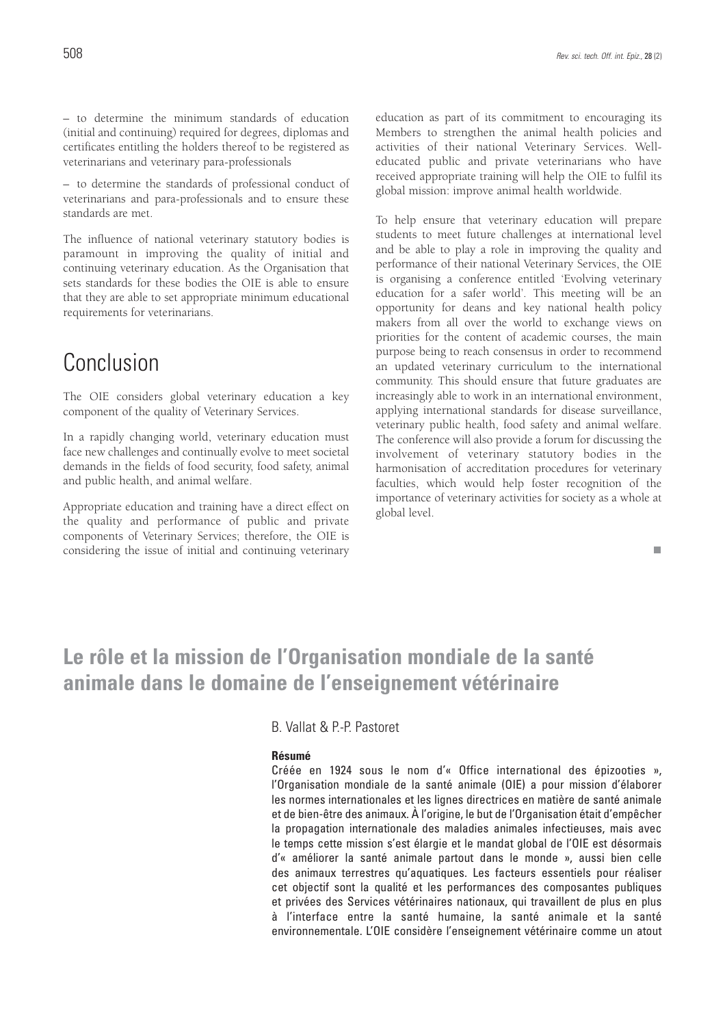– to determine the minimum standards of education (initial and continuing) required for degrees, diplomas and certificates entitling the holders thereof to be registered as veterinarians and veterinary para-professionals

– to determine the standards of professional conduct of veterinarians and para-professionals and to ensure these standards are met.

The influence of national veterinary statutory bodies is paramount in improving the quality of initial and continuing veterinary education. As the Organisation that sets standards for these bodies the OIE is able to ensure that they are able to set appropriate minimum educational requirements for veterinarians.

# Conclusion

The OIE considers global veterinary education a key component of the quality of Veterinary Services.

In a rapidly changing world, veterinary education must face new challenges and continually evolve to meet societal demands in the fields of food security, food safety, animal and public health, and animal welfare.

Appropriate education and training have a direct effect on the quality and performance of public and private components of Veterinary Services; therefore, the OIE is considering the issue of initial and continuing veterinary education as part of its commitment to encouraging its Members to strengthen the animal health policies and activities of their national Veterinary Services. Welleducated public and private veterinarians who have received appropriate training will help the OIE to fulfil its global mission: improve animal health worldwide.

To help ensure that veterinary education will prepare students to meet future challenges at international level and be able to play a role in improving the quality and performance of their national Veterinary Services, the OIE is organising a conference entitled 'Evolving veterinary education for a safer world'. This meeting will be an opportunity for deans and key national health policy makers from all over the world to exchange views on priorities for the content of academic courses, the main purpose being to reach consensus in order to recommend an updated veterinary curriculum to the international community. This should ensure that future graduates are increasingly able to work in an international environment, applying international standards for disease surveillance, veterinary public health, food safety and animal welfare. The conference will also provide a forum for discussing the involvement of veterinary statutory bodies in the harmonisation of accreditation procedures for veterinary faculties, which would help foster recognition of the importance of veterinary activities for society as a whole at global level.

П

# **Le rôle et la mission de l'Organisation mondiale de la santé animale dans le domaine de l'enseignement vétérinaire**

B. Vallat & P.-P. Pastoret

#### **Résumé**

Créée en 1924 sous le nom d'« Office international des épizooties », l'Organisation mondiale de la santé animale (OIE) a pour mission d'élaborer les normes internationales et les lignes directrices en matière de santé animale et de bien-être des animaux. À l'origine, le but de l'Organisation était d'empêcher la propagation internationale des maladies animales infectieuses, mais avec le temps cette mission s'est élargie et le mandat global de l'OIE est désormais d'« améliorer la santé animale partout dans le monde », aussi bien celle des animaux terrestres qu'aquatiques. Les facteurs essentiels pour réaliser cet objectif sont la qualité et les performances des composantes publiques et privées des Services vétérinaires nationaux, qui travaillent de plus en plus à l'interface entre la santé humaine, la santé animale et la santé environnementale. L'OIE considère l'enseignement vétérinaire comme un atout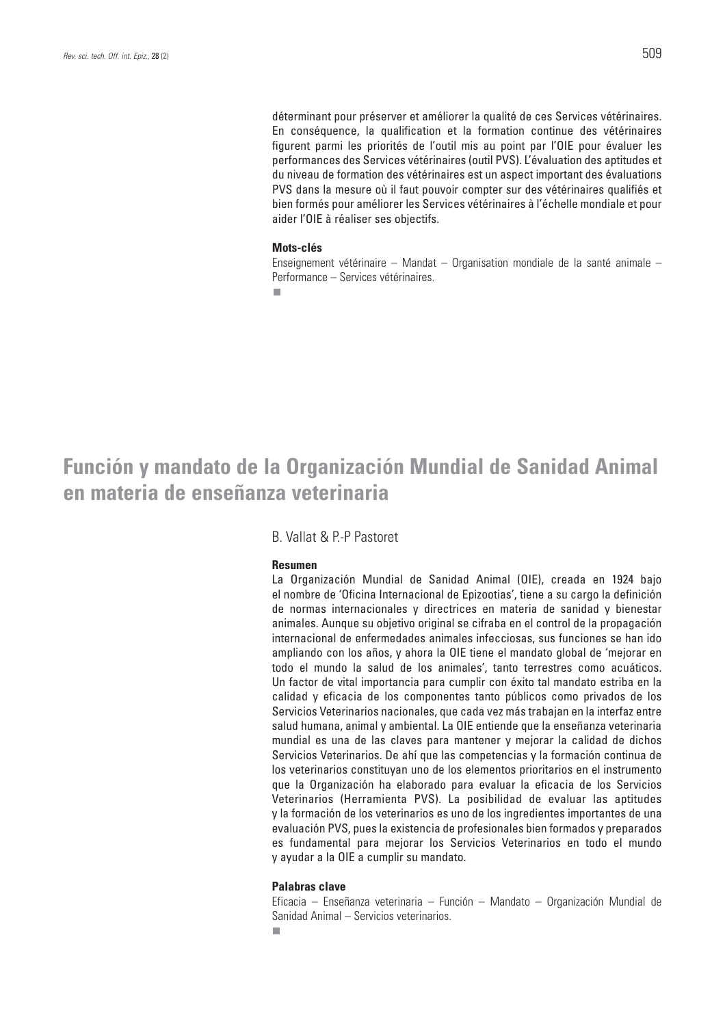déterminant pour préserver et améliorer la qualité de ces Services vétérinaires. En conséquence, la qualification et la formation continue des vétérinaires figurent parmi les priorités de l'outil mis au point par l'OIE pour évaluer les performances des Services vétérinaires (outil PVS). L'évaluation des aptitudes et du niveau de formation des vétérinaires est un aspect important des évaluations PVS dans la mesure où il faut pouvoir compter sur des vétérinaires qualifiés et bien formés pour améliorer les Services vétérinaires à l'échelle mondiale et pour aider l'OIE à réaliser ses objectifs.

#### **Mots-clés**

Enseignement vétérinaire – Mandat – Organisation mondiale de la santé animale – Performance – Services vétérinaires.

٠

# **Función y mandato de la Organización Mundial de Sanidad Animal en materia de enseñanza veterinaria**

# B. Vallat & P.-P Pastoret

#### **Resumen**

La Organización Mundial de Sanidad Animal (OIE), creada en 1924 bajo el nombre de 'Oficina Internacional de Epizootias', tiene a su cargo la definición de normas internacionales y directrices en materia de sanidad y bienestar animales. Aunque su objetivo original se cifraba en el control de la propagación internacional de enfermedades animales infecciosas, sus funciones se han ido ampliando con los años, y ahora la OIE tiene el mandato global de 'mejorar en todo el mundo la salud de los animales', tanto terrestres como acuáticos. Un factor de vital importancia para cumplir con éxito tal mandato estriba en la calidad y eficacia de los componentes tanto públicos como privados de los Servicios Veterinarios nacionales, que cada vez más trabajan en la interfaz entre salud humana, animal y ambiental. La OIE entiende que la enseñanza veterinaria mundial es una de las claves para mantener y mejorar la calidad de dichos Servicios Veterinarios. De ahí que las competencias y la formación continua de los veterinarios constituyan uno de los elementos prioritarios en el instrumento que la Organización ha elaborado para evaluar la eficacia de los Servicios Veterinarios (Herramienta PVS). La posibilidad de evaluar las aptitudes y la formación de los veterinarios es uno de los ingredientes importantes de una evaluación PVS, pues la existencia de profesionales bien formados y preparados es fundamental para mejorar los Servicios Veterinarios en todo el mundo y ayudar a la OIE a cumplir su mandato.

#### **Palabras clave**

Eficacia – Enseñanza veterinaria – Función – Mandato – Organización Mundial de Sanidad Animal – Servicios veterinarios.

 $\overline{\phantom{a}}$